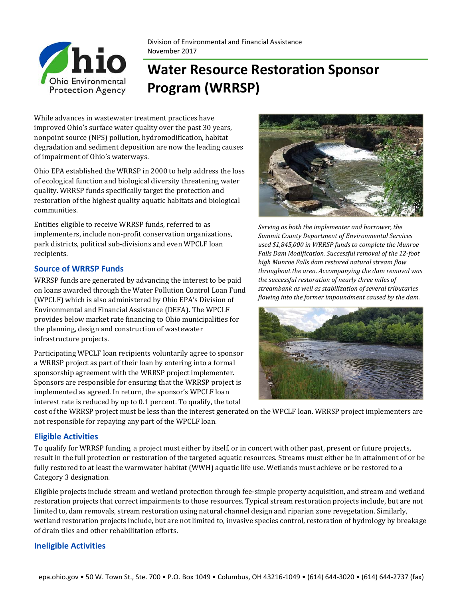

Division of Environmental and Financial Assistance November 2017

# **Water Resource Restoration Sponsor Program (WRRSP)**

While advances in wastewater treatment practices have improved Ohio's surface water quality over the past 30 years, nonpoint source (NPS) pollution, hydromodification, habitat degradation and sediment deposition are now the leading causes of impairment of Ohio's waterways.

Ohio EPA established the WRRSP in 2000 to help address the loss of ecological function and biological diversity threatening water quality. WRRSP funds specifically target the protection and restoration of the highest quality aquatic habitats and biological communities.

Entities eligible to receive WRRSP funds, referred to as implementers, include non-profit conservation organizations, park districts, political sub-divisions and even WPCLF loan recipients.

### **Source of WRRSP Funds**

WRRSP funds are generated by advancing the interest to be paid on loans awarded through the Water Pollution Control Loan Fund (WPCLF) which is also administered by Ohio EPA's Division of Environmental and Financial Assistance (DEFA). The WPCLF provides below market rate financing to Ohio municipalities for the planning, design and construction of wastewater infrastructure projects.

Participating WPCLF loan recipients voluntarily agree to sponsor a WRRSP project as part of their loan by entering into a formal sponsorship agreement with the WRRSP project implementer. Sponsors are responsible for ensuring that the WRRSP project is implemented as agreed. In return, the sponsor's WPCLF loan interest rate is reduced by up to 0.1 percent. To qualify, the total



*Serving as both the implementer and borrower, the Summit County Department of Environmental Services used \$1,845,000 in WRRSP funds to complete the Munroe Falls Dam Modification. Successful removal of the 12‐foot high Munroe Falls dam restored natural stream flow throughout the area. Accompanying the dam removal was the successful restoration of nearly three miles of streambank as well as stabilization of several tributaries flowing into the former impoundment caused by the dam.* 



cost of the WRRSP project must be less than the interest generated on the WPCLF loan. WRRSP project implementers are not responsible for repaying any part of the WPCLF loan.

## **Eligible Activities**

To qualify for WRRSP funding, a project must either by itself, or in concert with other past, present or future projects, result in the full protection or restoration of the targeted aquatic resources. Streams must either be in attainment of or be fully restored to at least the warmwater habitat (WWH) aquatic life use. Wetlands must achieve or be restored to a Category 3 designation.

Eligible projects include stream and wetland protection through fee-simple property acquisition, and stream and wetland restoration projects that correct impairments to those resources. Typical stream restoration projects include, but are not limited to, dam removals, stream restoration using natural channel design and riparian zone revegetation. Similarly, wetland restoration projects include, but are not limited to, invasive species control, restoration of hydrology by breakage of drain tiles and other rehabilitation efforts.

#### **Ineligible Activities**